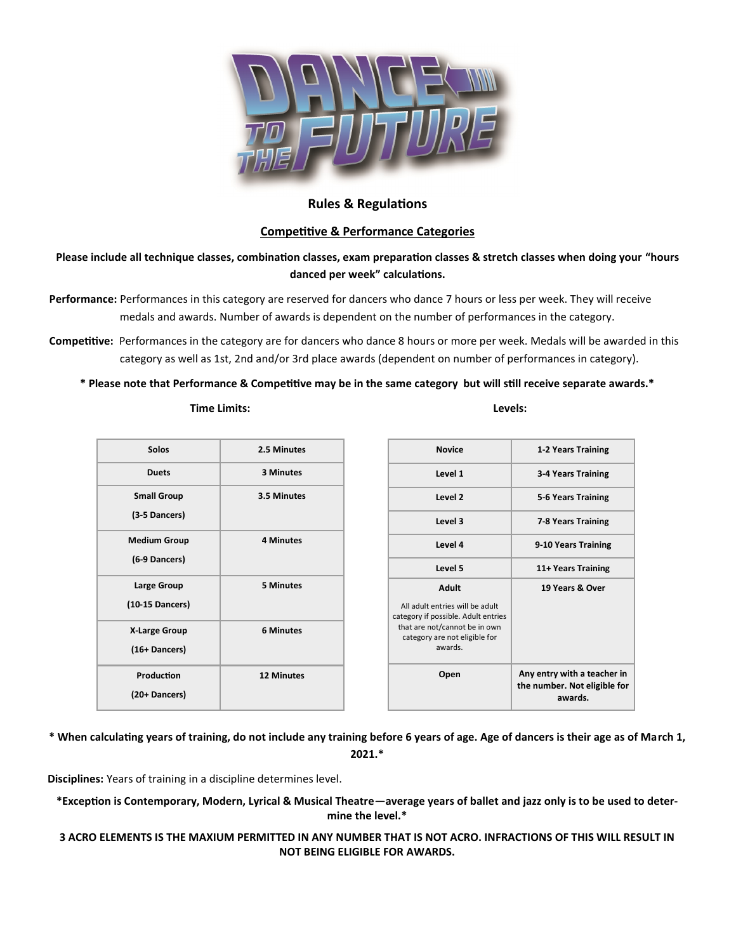

# **Rules & Regulations**

# **Competitive & Performance Categories**

**Please include all technique classes, combination classes, exam preparation classes & stretch classes when doing your "hours danced per week" calculations.**

- **Performance:** Performances in this category are reserved for dancers who dance 7 hours or less per week. They will receive medals and awards. Number of awards is dependent on the number of performances in the category.
- **Competitive:** Performances in the category are for dancers who dance 8 hours or more per week. Medals will be awarded in this category as well as 1st, 2nd and/or 3rd place awards (dependent on number of performances in category).

## **\* Please note that Performance & Competitive may be in the same category but will still receive separate awards.\***

| Solos                | 2.5 Minutes       |
|----------------------|-------------------|
| <b>Duets</b>         | 3 Minutes         |
| <b>Small Group</b>   | 3.5 Minutes       |
| (3-5 Dancers)        |                   |
| <b>Medium Group</b>  | <b>4 Minutes</b>  |
| (6-9 Dancers)        |                   |
| Large Group          | <b>5 Minutes</b>  |
| (10-15 Dancers)      |                   |
| <b>X-Large Group</b> | <b>6 Minutes</b>  |
| (16+ Dancers)        |                   |
| Production           | <b>12 Minutes</b> |
| (20+ Dancers)        |                   |

| <b>Novice</b>                                                                                                                                                | 1-2 Years Training                                                     |
|--------------------------------------------------------------------------------------------------------------------------------------------------------------|------------------------------------------------------------------------|
| Level 1                                                                                                                                                      | 3-4 Years Training                                                     |
| Level <sub>2</sub>                                                                                                                                           | 5-6 Years Training                                                     |
| Level 3                                                                                                                                                      | 7-8 Years Training                                                     |
| Level 4                                                                                                                                                      | 9-10 Years Training                                                    |
| Level 5                                                                                                                                                      | 11+ Years Training                                                     |
| Adult<br>All adult entries will be adult<br>category if possible. Adult entries<br>that are not/cannot be in own<br>category are not eligible for<br>awards. | 19 Years & Over                                                        |
| Open                                                                                                                                                         | Any entry with a teacher in<br>the number. Not eligible for<br>awards. |

**\* When calculating years of training, do not include any training before 6 years of age. Age of dancers is their age as of March 1, 2021.\***

**Disciplines:** Years of training in a discipline determines level.

**\*Exception is Contemporary, Modern, Lyrical & Musical Theatre—average years of ballet and jazz only is to be used to determine the level.\***

**3 ACRO ELEMENTS IS THE MAXIUM PERMITTED IN ANY NUMBER THAT IS NOT ACRO. INFRACTIONS OF THIS WILL RESULT IN NOT BEING ELIGIBLE FOR AWARDS.**

 **Time Limits: Levels:**